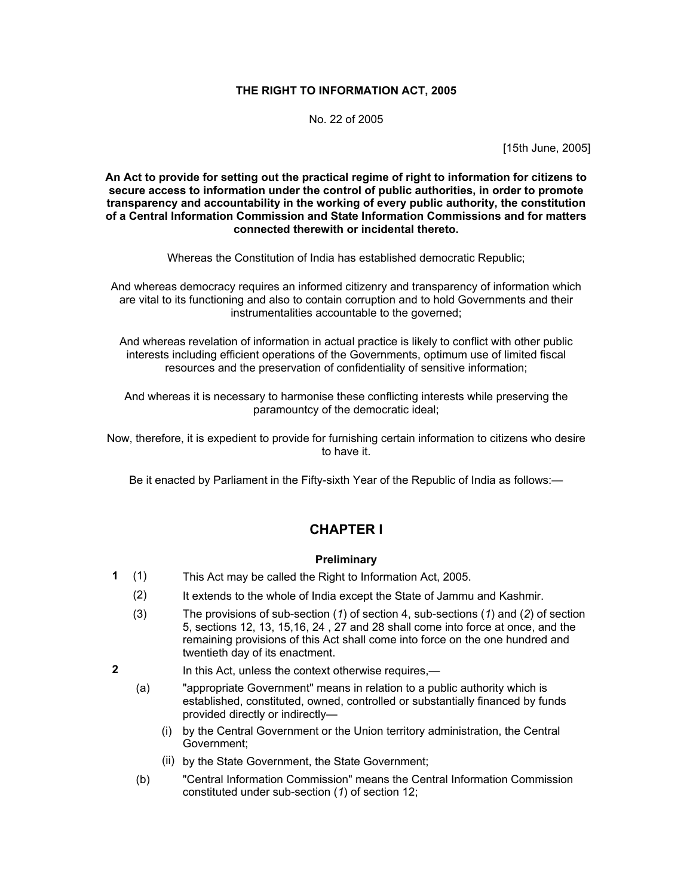### **THE RIGHT TO INFORMATION ACT, 2005**

No. 22 of 2005

[15th June, 2005]

**An Act to provide for setting out the practical regime of right to information for citizens to secure access to information under the control of public authorities, in order to promote transparency and accountability in the working of every public authority, the constitution of a Central Information Commission and State Information Commissions and for matters connected therewith or incidental thereto.**

Whereas the Constitution of India has established democratic Republic;

And whereas democracy requires an informed citizenry and transparency of information which are vital to its functioning and also to contain corruption and to hold Governments and their instrumentalities accountable to the governed;

And whereas revelation of information in actual practice is likely to conflict with other public interests including efficient operations of the Governments, optimum use of limited fiscal resources and the preservation of confidentiality of sensitive information;

And whereas it is necessary to harmonise these conflicting interests while preserving the paramountcy of the democratic ideal;

Now, therefore, it is expedient to provide for furnishing certain information to citizens who desire to have it.

Be it enacted by Parliament in the Fifty-sixth Year of the Republic of India as follows:—

## **CHAPTER I**

### **Preliminary**

- **1** (1) This Act may be called the Right to Information Act, 2005.
	- (2) It extends to the whole of India except the State of Jammu and Kashmir.
	- (3) The provisions of sub-section (*1*) of section 4, sub-sections (*1*) and (*2*) of section 5, sections 12, 13, 15,16, 24 , 27 and 28 shall come into force at once, and the remaining provisions of this Act shall come into force on the one hundred and twentieth day of its enactment.
- 

**2** In this Act, unless the context otherwise requires,—

- (a) "appropriate Government" means in relation to a public authority which is established, constituted, owned, controlled or substantially financed by funds provided directly or indirectly—
	- (i) by the Central Government or the Union territory administration, the Central Government;
	- (ii) by the State Government, the State Government;
- (b) "Central Information Commission" means the Central Information Commission constituted under sub-section (*1*) of section 12;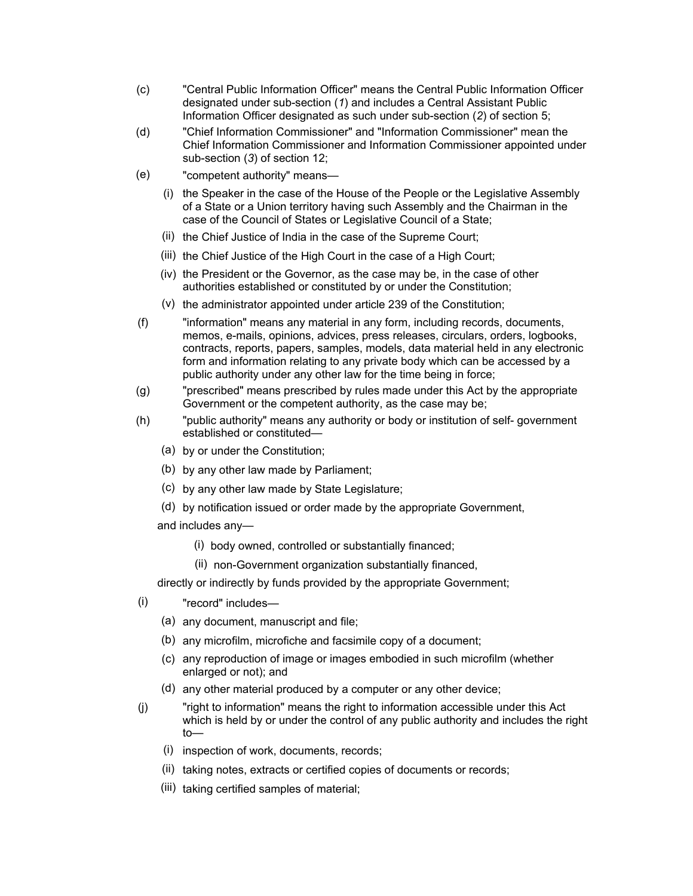- (c) "Central Public Information Officer" means the Central Public Information Officer designated under sub-section (*1*) and includes a Central Assistant Public Information Officer designated as such under sub-section (*2*) of section 5;
- (d) "Chief Information Commissioner" and "Information Commissioner" mean the Chief Information Commissioner and Information Commissioner appointed under sub-section (*3*) of section 12;
- (e) "competent authority" means—
	- (i) the Speaker in the case of the House of the People or the Legislative Assembly of a State or a Union territory having such Assembly and the Chairman in the case of the Council of States or Legislative Council of a State;
	- (ii) the Chief Justice of India in the case of the Supreme Court;
	- (iii) the Chief Justice of the High Court in the case of a High Court;
	- (iv) the President or the Governor, as the case may be, in the case of other authorities established or constituted by or under the Constitution;
	- (v) the administrator appointed under article 239 of the Constitution;
- (f) "information" means any material in any form, including records, documents, memos, e-mails, opinions, advices, press releases, circulars, orders, logbooks, contracts, reports, papers, samples, models, data material held in any electronic form and information relating to any private body which can be accessed by a public authority under any other law for the time being in force;
- (g) "prescribed" means prescribed by rules made under this Act by the appropriate Government or the competent authority, as the case may be;
- (h) "public authority" means any authority or body or institution of self- government established or constituted—
	- (a) by or under the Constitution;
	- (b) by any other law made by Parliament;
	- (c) by any other law made by State Legislature;
	- (d) by notification issued or order made by the appropriate Government,

and includes any—

- (i) body owned, controlled or substantially financed;
- (ii) non-Government organization substantially financed,

directly or indirectly by funds provided by the appropriate Government;

- (i) "record" includes—
	- (a) any document, manuscript and file;
	- (b) any microfilm, microfiche and facsimile copy of a document;
	- (c) any reproduction of image or images embodied in such microfilm (whether enlarged or not); and
	- (d) any other material produced by a computer or any other device;
- (j) "right to information" means the right to information accessible under this Act which is held by or under the control of any public authority and includes the right to—
	- (i) inspection of work, documents, records;
	- (ii) taking notes, extracts or certified copies of documents or records;
	- (iii) taking certified samples of material;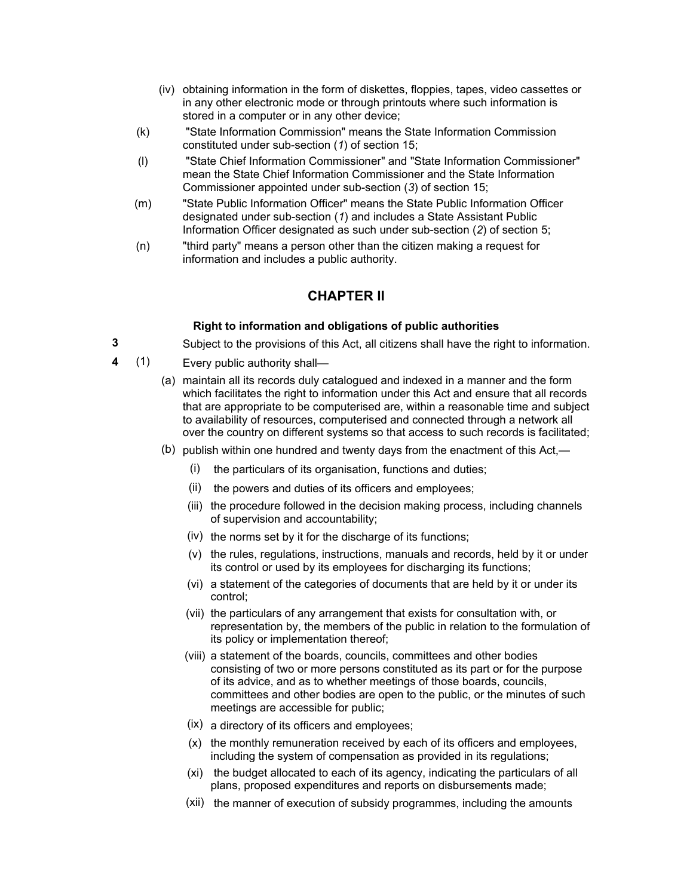- (iv) obtaining information in the form of diskettes, floppies, tapes, video cassettes or in any other electronic mode or through printouts where such information is stored in a computer or in any other device;
- (k) "State Information Commission" means the State Information Commission constituted under sub-section (*1*) of section 15;
- (l) "State Chief Information Commissioner" and "State Information Commissioner" mean the State Chief Information Commissioner and the State Information Commissioner appointed under sub-section (*3*) of section 15;
- (m) "State Public Information Officer" means the State Public Information Officer designated under sub-section (*1*) and includes a State Assistant Public Information Officer designated as such under sub-section (*2*) of section 5;
- (n) "third party" means a person other than the citizen making a request for information and includes a public authority.

## **CHAPTER II**

#### **Right to information and obligations of public authorities**

- **3** Subject to the provisions of this Act, all citizens shall have the right to information.
- **4** (1) Every public authority shall—
	- (a) maintain all its records duly catalogued and indexed in a manner and the form which facilitates the right to information under this Act and ensure that all records that are appropriate to be computerised are, within a reasonable time and subject to availability of resources, computerised and connected through a network all over the country on different systems so that access to such records is facilitated;
	- (b) publish within one hundred and twenty days from the enactment of this Act,—
		- (i) the particulars of its organisation, functions and duties;
		- (ii) the powers and duties of its officers and employees;
		- (iii) the procedure followed in the decision making process, including channels of supervision and accountability;
		- (iv) the norms set by it for the discharge of its functions;
		- (v) the rules, regulations, instructions, manuals and records, held by it or under its control or used by its employees for discharging its functions;
		- (vi) a statement of the categories of documents that are held by it or under its control;
		- (vii) the particulars of any arrangement that exists for consultation with, or representation by, the members of the public in relation to the formulation of its policy or implementation thereof;
		- (viii) a statement of the boards, councils, committees and other bodies consisting of two or more persons constituted as its part or for the purpose of its advice, and as to whether meetings of those boards, councils, committees and other bodies are open to the public, or the minutes of such meetings are accessible for public;
		- (ix) a directory of its officers and employees;
		- (x) the monthly remuneration received by each of its officers and employees, including the system of compensation as provided in its regulations;
		- (xi) the budget allocated to each of its agency, indicating the particulars of all plans, proposed expenditures and reports on disbursements made;
		- (xii) the manner of execution of subsidy programmes, including the amounts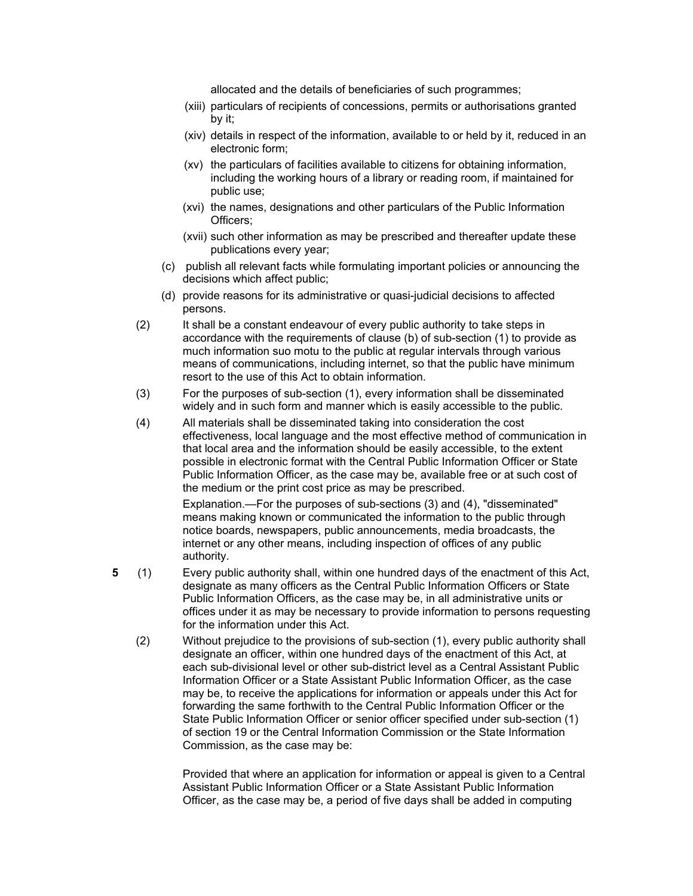allocated and the details of beneficiaries of such programmes;

- (xiii) particulars of recipients of concessions, permits or authorisations granted by it;
- (xiv) details in respect of the information, available to or held by it, reduced in an electronic form;
- (xv) the particulars of facilities available to citizens for obtaining information, including the working hours of a library or reading room, if maintained for public use;
- (xvi) the names, designations and other particulars of the Public Information Officers;
- (xvii) such other information as may be prescribed and thereafter update these publications every year;
- (c) publish all relevant facts while formulating important policies or announcing the decisions which affect public;
- (d) provide reasons for its administrative or quasi-judicial decisions to affected persons.
- (2) It shall be a constant endeavour of every public authority to take steps in accordance with the requirements of clause (b) of sub-section (1) to provide as much information suo motu to the public at regular intervals through various means of communications, including internet, so that the public have minimum resort to the use of this Act to obtain information.
- (3) For the purposes of sub-section (1), every information shall be disseminated widely and in such form and manner which is easily accessible to the public.
- (4) All materials shall be disseminated taking into consideration the cost effectiveness, local language and the most effective method of communication in that local area and the information should be easily accessible, to the extent possible in electronic format with the Central Public Information Officer or State Public Information Officer, as the case may be, available free or at such cost of the medium or the print cost price as may be prescribed.

 Explanation.—For the purposes of sub-sections (3) and (4), "disseminated" means making known or communicated the information to the public through notice boards, newspapers, public announcements, media broadcasts, the internet or any other means, including inspection of offices of any public authority.

- **5** (1) Every public authority shall, within one hundred days of the enactment of this Act, designate as many officers as the Central Public Information Officers or State Public Information Officers, as the case may be, in all administrative units or offices under it as may be necessary to provide information to persons requesting for the information under this Act.
	- (2) Without prejudice to the provisions of sub-section (1), every public authority shall designate an officer, within one hundred days of the enactment of this Act, at each sub-divisional level or other sub-district level as a Central Assistant Public Information Officer or a State Assistant Public Information Officer, as the case may be, to receive the applications for information or appeals under this Act for forwarding the same forthwith to the Central Public Information Officer or the State Public Information Officer or senior officer specified under sub-section (1) of section 19 or the Central Information Commission or the State Information Commission, as the case may be:

Provided that where an application for information or appeal is given to a Central Assistant Public Information Officer or a State Assistant Public Information Officer, as the case may be, a period of five days shall be added in computing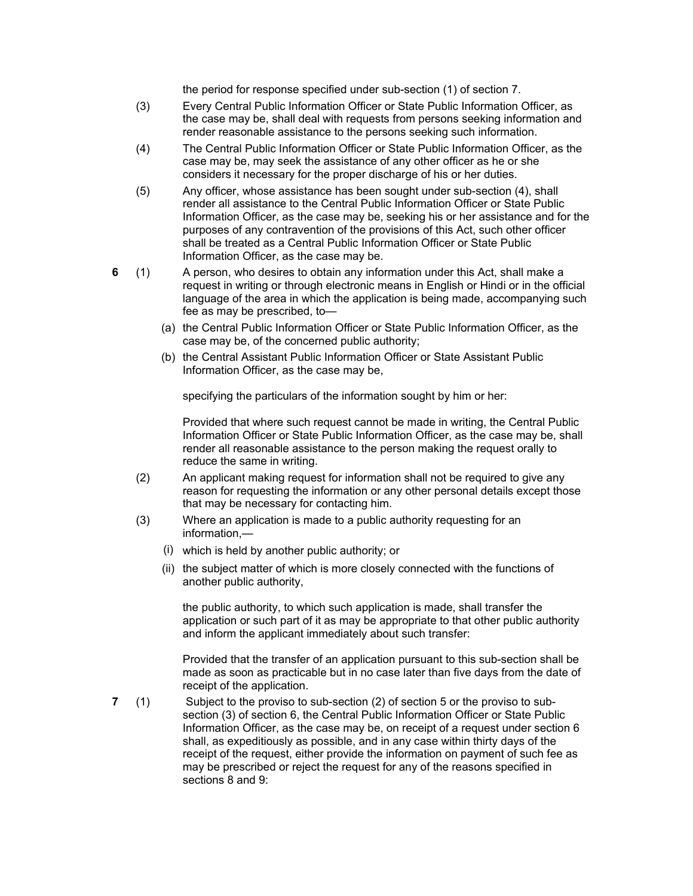the period for response specified under sub-section (1) of section 7.

- (3) Every Central Public Information Officer or State Public Information Officer, as the case may be, shall deal with requests from persons seeking information and render reasonable assistance to the persons seeking such information.
- (4) The Central Public Information Officer or State Public Information Officer, as the case may be, may seek the assistance of any other officer as he or she considers it necessary for the proper discharge of his or her duties.
- (5) Any officer, whose assistance has been sought under sub-section (4), shall render all assistance to the Central Public Information Officer or State Public Information Officer, as the case may be, seeking his or her assistance and for the purposes of any contravention of the provisions of this Act, such other officer shall be treated as a Central Public Information Officer or State Public Information Officer, as the case may be.
- **6** (1) A person, who desires to obtain any information under this Act, shall make a request in writing or through electronic means in English or Hindi or in the official language of the area in which the application is being made, accompanying such fee as may be prescribed, to—
	- (a) the Central Public Information Officer or State Public Information Officer, as the case may be, of the concerned public authority;
	- (b) the Central Assistant Public Information Officer or State Assistant Public Information Officer, as the case may be,

specifying the particulars of the information sought by him or her:

Provided that where such request cannot be made in writing, the Central Public Information Officer or State Public Information Officer, as the case may be, shall render all reasonable assistance to the person making the request orally to reduce the same in writing.

- (2) An applicant making request for information shall not be required to give any reason for requesting the information or any other personal details except those that may be necessary for contacting him.
- (3) Where an application is made to a public authority requesting for an information,—
	- (i) which is held by another public authority; or
	- (ii) the subject matter of which is more closely connected with the functions of another public authority,

the public authority, to which such application is made, shall transfer the application or such part of it as may be appropriate to that other public authority and inform the applicant immediately about such transfer:

Provided that the transfer of an application pursuant to this sub-section shall be made as soon as practicable but in no case later than five days from the date of receipt of the application.

**7** (1) Subject to the proviso to sub-section (2) of section 5 or the proviso to subsection (3) of section 6, the Central Public Information Officer or State Public Information Officer, as the case may be, on receipt of a request under section 6 shall, as expeditiously as possible, and in any case within thirty days of the receipt of the request, either provide the information on payment of such fee as may be prescribed or reject the request for any of the reasons specified in sections 8 and 9: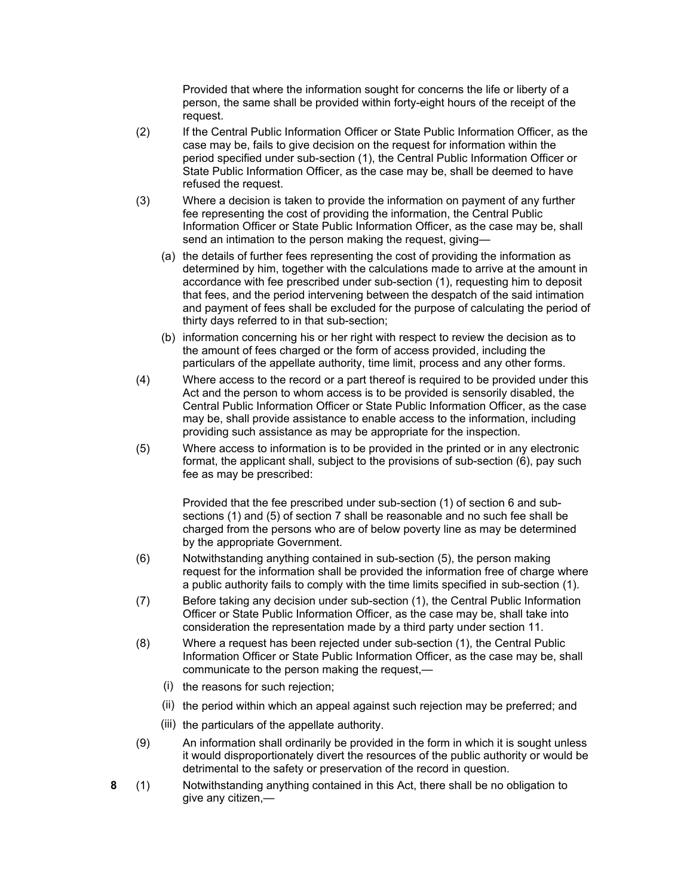Provided that where the information sought for concerns the life or liberty of a person, the same shall be provided within forty-eight hours of the receipt of the request.

- (2) If the Central Public Information Officer or State Public Information Officer, as the case may be, fails to give decision on the request for information within the period specified under sub-section (1), the Central Public Information Officer or State Public Information Officer, as the case may be, shall be deemed to have refused the request.
- (3) Where a decision is taken to provide the information on payment of any further fee representing the cost of providing the information, the Central Public Information Officer or State Public Information Officer, as the case may be, shall send an intimation to the person making the request, giving—
	- (a) the details of further fees representing the cost of providing the information as determined by him, together with the calculations made to arrive at the amount in accordance with fee prescribed under sub-section (1), requesting him to deposit that fees, and the period intervening between the despatch of the said intimation and payment of fees shall be excluded for the purpose of calculating the period of thirty days referred to in that sub-section;
	- (b) information concerning his or her right with respect to review the decision as to the amount of fees charged or the form of access provided, including the particulars of the appellate authority, time limit, process and any other forms.
- (4) Where access to the record or a part thereof is required to be provided under this Act and the person to whom access is to be provided is sensorily disabled, the Central Public Information Officer or State Public Information Officer, as the case may be, shall provide assistance to enable access to the information, including providing such assistance as may be appropriate for the inspection.
- (5) Where access to information is to be provided in the printed or in any electronic format, the applicant shall, subject to the provisions of sub-section (6), pay such fee as may be prescribed:

Provided that the fee prescribed under sub-section (1) of section 6 and subsections (1) and (5) of section 7 shall be reasonable and no such fee shall be charged from the persons who are of below poverty line as may be determined by the appropriate Government.

- (6) Notwithstanding anything contained in sub-section (5), the person making request for the information shall be provided the information free of charge where a public authority fails to comply with the time limits specified in sub-section (1).
- (7) Before taking any decision under sub-section (1), the Central Public Information Officer or State Public Information Officer, as the case may be, shall take into consideration the representation made by a third party under section 11.
- (8) Where a request has been rejected under sub-section (1), the Central Public Information Officer or State Public Information Officer, as the case may be, shall communicate to the person making the request,—
	- (i) the reasons for such rejection;
	- (ii) the period within which an appeal against such rejection may be preferred; and
	- (iii) the particulars of the appellate authority.
- (9) An information shall ordinarily be provided in the form in which it is sought unless it would disproportionately divert the resources of the public authority or would be detrimental to the safety or preservation of the record in question.
- **8** (1) Notwithstanding anything contained in this Act, there shall be no obligation to give any citizen,—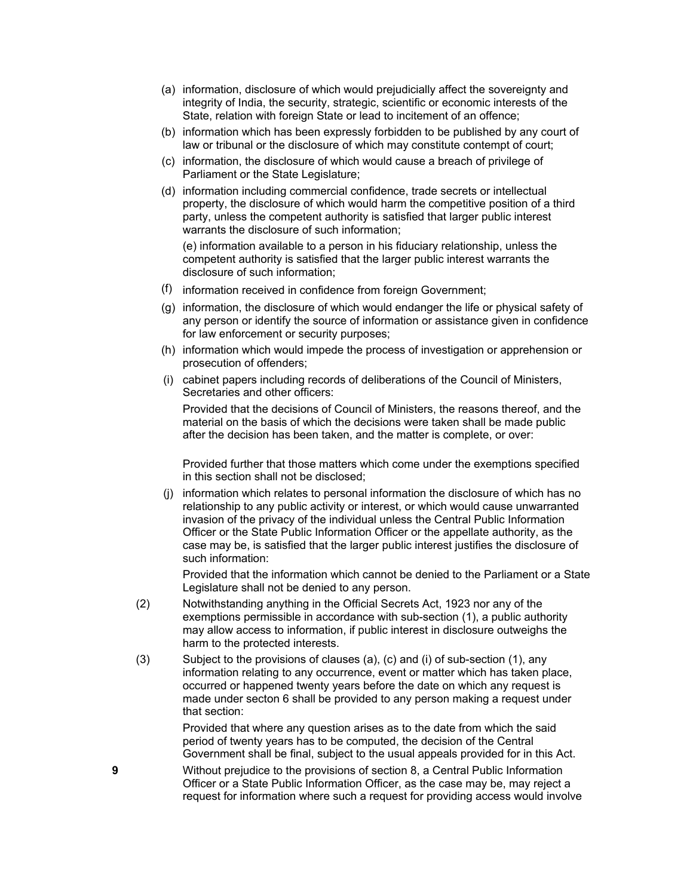- (a) information, disclosure of which would prejudicially affect the sovereignty and integrity of India, the security, strategic, scientific or economic interests of the State, relation with foreign State or lead to incitement of an offence;
- (b) information which has been expressly forbidden to be published by any court of law or tribunal or the disclosure of which may constitute contempt of court;
- (c) information, the disclosure of which would cause a breach of privilege of Parliament or the State Legislature;
- (d) information including commercial confidence, trade secrets or intellectual property, the disclosure of which would harm the competitive position of a third party, unless the competent authority is satisfied that larger public interest warrants the disclosure of such information;

 (e) information available to a person in his fiduciary relationship, unless the competent authority is satisfied that the larger public interest warrants the disclosure of such information;

- (f) information received in confidence from foreign Government;
- (g) information, the disclosure of which would endanger the life or physical safety of any person or identify the source of information or assistance given in confidence for law enforcement or security purposes;
- (h) information which would impede the process of investigation or apprehension or prosecution of offenders;
- (i) cabinet papers including records of deliberations of the Council of Ministers, Secretaries and other officers:

 Provided that the decisions of Council of Ministers, the reasons thereof, and the material on the basis of which the decisions were taken shall be made public after the decision has been taken, and the matter is complete, or over:

Provided further that those matters which come under the exemptions specified in this section shall not be disclosed;

 (j) information which relates to personal information the disclosure of which has no relationship to any public activity or interest, or which would cause unwarranted invasion of the privacy of the individual unless the Central Public Information Officer or the State Public Information Officer or the appellate authority, as the case may be, is satisfied that the larger public interest justifies the disclosure of such information:

 Provided that the information which cannot be denied to the Parliament or a State Legislature shall not be denied to any person.

- (2) Notwithstanding anything in the Official Secrets Act, 1923 nor any of the exemptions permissible in accordance with sub-section (1), a public authority may allow access to information, if public interest in disclosure outweighs the harm to the protected interests.
- (3) Subject to the provisions of clauses (a), (c) and (i) of sub-section (1), any information relating to any occurrence, event or matter which has taken place, occurred or happened twenty years before the date on which any request is made under secton 6 shall be provided to any person making a request under that section:

 Provided that where any question arises as to the date from which the said period of twenty years has to be computed, the decision of the Central Government shall be final, subject to the usual appeals provided for in this Act.

**9** Without prejudice to the provisions of section 8, a Central Public Information Officer or a State Public Information Officer, as the case may be, may reject a request for information where such a request for providing access would involve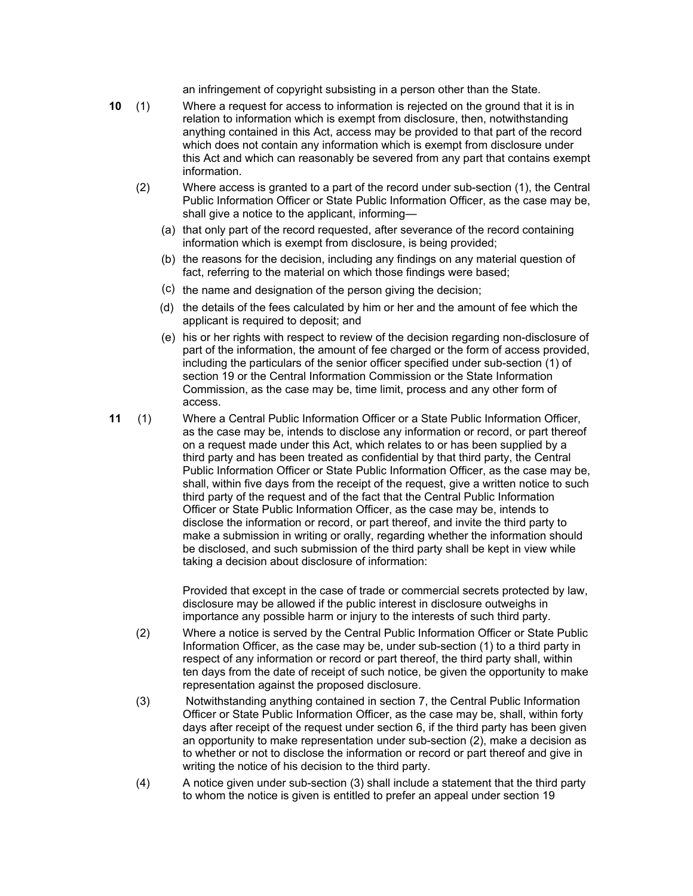an infringement of copyright subsisting in a person other than the State.

- **10** (1) Where a request for access to information is rejected on the ground that it is in relation to information which is exempt from disclosure, then, notwithstanding anything contained in this Act, access may be provided to that part of the record which does not contain any information which is exempt from disclosure under this Act and which can reasonably be severed from any part that contains exempt information.
	- (2) Where access is granted to a part of the record under sub-section (1), the Central Public Information Officer or State Public Information Officer, as the case may be, shall give a notice to the applicant, informing—
		- (a) that only part of the record requested, after severance of the record containing information which is exempt from disclosure, is being provided;
		- (b) the reasons for the decision, including any findings on any material question of fact, referring to the material on which those findings were based;
		- (c) the name and designation of the person giving the decision;
		- (d) the details of the fees calculated by him or her and the amount of fee which the applicant is required to deposit; and
		- (e) his or her rights with respect to review of the decision regarding non-disclosure of part of the information, the amount of fee charged or the form of access provided, including the particulars of the senior officer specified under sub-section (1) of section 19 or the Central Information Commission or the State Information Commission, as the case may be, time limit, process and any other form of access.
- **11** (1) Where a Central Public Information Officer or a State Public Information Officer, as the case may be, intends to disclose any information or record, or part thereof on a request made under this Act, which relates to or has been supplied by a third party and has been treated as confidential by that third party, the Central Public Information Officer or State Public Information Officer, as the case may be, shall, within five days from the receipt of the request, give a written notice to such third party of the request and of the fact that the Central Public Information Officer or State Public Information Officer, as the case may be, intends to disclose the information or record, or part thereof, and invite the third party to make a submission in writing or orally, regarding whether the information should be disclosed, and such submission of the third party shall be kept in view while taking a decision about disclosure of information:

Provided that except in the case of trade or commercial secrets protected by law, disclosure may be allowed if the public interest in disclosure outweighs in importance any possible harm or injury to the interests of such third party.

- (2) Where a notice is served by the Central Public Information Officer or State Public Information Officer, as the case may be, under sub-section (1) to a third party in respect of any information or record or part thereof, the third party shall, within ten days from the date of receipt of such notice, be given the opportunity to make representation against the proposed disclosure.
- (3) Notwithstanding anything contained in section 7, the Central Public Information Officer or State Public Information Officer, as the case may be, shall, within forty days after receipt of the request under section 6, if the third party has been given an opportunity to make representation under sub-section (2), make a decision as to whether or not to disclose the information or record or part thereof and give in writing the notice of his decision to the third party.
- (4) A notice given under sub-section (3) shall include a statement that the third party to whom the notice is given is entitled to prefer an appeal under section 19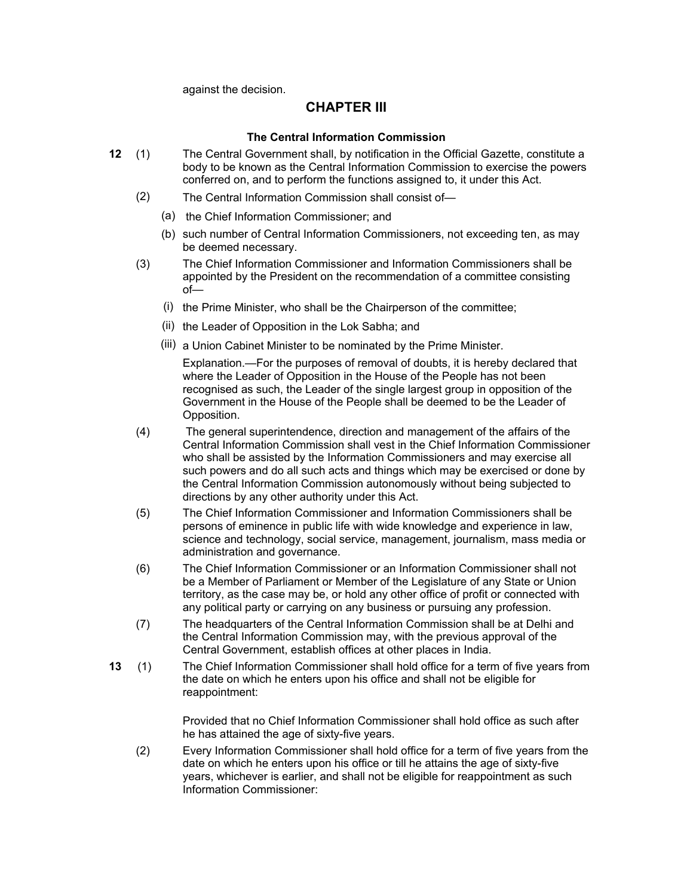against the decision.

# **CHAPTER III**

### **The Central Information Commission**

- **12** (1) The Central Government shall, by notification in the Official Gazette, constitute a body to be known as the Central Information Commission to exercise the powers conferred on, and to perform the functions assigned to, it under this Act.
	- (2) The Central Information Commission shall consist of—
		- (a) the Chief Information Commissioner; and
		- (b) such number of Central Information Commissioners, not exceeding ten, as may be deemed necessary.
	- (3) The Chief Information Commissioner and Information Commissioners shall be appointed by the President on the recommendation of a committee consisting of—
		- (i) the Prime Minister, who shall be the Chairperson of the committee;
		- (ii) the Leader of Opposition in the Lok Sabha; and
		- (iii) a Union Cabinet Minister to be nominated by the Prime Minister.

 Explanation.—For the purposes of removal of doubts, it is hereby declared that where the Leader of Opposition in the House of the People has not been recognised as such, the Leader of the single largest group in opposition of the Government in the House of the People shall be deemed to be the Leader of Opposition.

- (4) The general superintendence, direction and management of the affairs of the Central Information Commission shall vest in the Chief Information Commissioner who shall be assisted by the Information Commissioners and may exercise all such powers and do all such acts and things which may be exercised or done by the Central Information Commission autonomously without being subjected to directions by any other authority under this Act.
- (5) The Chief Information Commissioner and Information Commissioners shall be persons of eminence in public life with wide knowledge and experience in law, science and technology, social service, management, journalism, mass media or administration and governance.
- (6) The Chief Information Commissioner or an Information Commissioner shall not be a Member of Parliament or Member of the Legislature of any State or Union territory, as the case may be, or hold any other office of profit or connected with any political party or carrying on any business or pursuing any profession.
- (7) The headquarters of the Central Information Commission shall be at Delhi and the Central Information Commission may, with the previous approval of the Central Government, establish offices at other places in India.
- **13** (1) The Chief Information Commissioner shall hold office for a term of five years from the date on which he enters upon his office and shall not be eligible for reappointment:

Provided that no Chief Information Commissioner shall hold office as such after he has attained the age of sixty-five years.

 (2) Every Information Commissioner shall hold office for a term of five years from the date on which he enters upon his office or till he attains the age of sixty-five years, whichever is earlier, and shall not be eligible for reappointment as such Information Commissioner: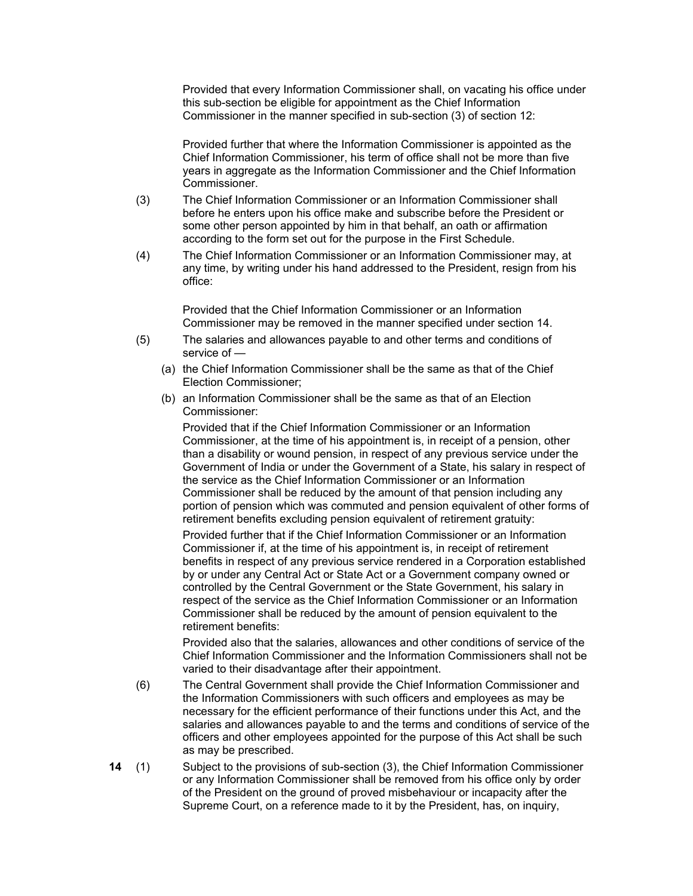Provided that every Information Commissioner shall, on vacating his office under this sub-section be eligible for appointment as the Chief Information Commissioner in the manner specified in sub-section (3) of section 12:

Provided further that where the Information Commissioner is appointed as the Chief Information Commissioner, his term of office shall not be more than five years in aggregate as the Information Commissioner and the Chief Information Commissioner.

- (3) The Chief Information Commissioner or an Information Commissioner shall before he enters upon his office make and subscribe before the President or some other person appointed by him in that behalf, an oath or affirmation according to the form set out for the purpose in the First Schedule.
- (4) The Chief Information Commissioner or an Information Commissioner may, at any time, by writing under his hand addressed to the President, resign from his office:

Provided that the Chief Information Commissioner or an Information Commissioner may be removed in the manner specified under section 14.

- (5) The salaries and allowances payable to and other terms and conditions of service of —
	- (a) the Chief Information Commissioner shall be the same as that of the Chief Election Commissioner;
	- (b) an Information Commissioner shall be the same as that of an Election Commissioner:

 Provided that if the Chief Information Commissioner or an Information Commissioner, at the time of his appointment is, in receipt of a pension, other than a disability or wound pension, in respect of any previous service under the Government of India or under the Government of a State, his salary in respect of the service as the Chief Information Commissioner or an Information Commissioner shall be reduced by the amount of that pension including any portion of pension which was commuted and pension equivalent of other forms of retirement benefits excluding pension equivalent of retirement gratuity:

 Provided further that if the Chief Information Commissioner or an Information Commissioner if, at the time of his appointment is, in receipt of retirement benefits in respect of any previous service rendered in a Corporation established by or under any Central Act or State Act or a Government company owned or controlled by the Central Government or the State Government, his salary in respect of the service as the Chief Information Commissioner or an Information Commissioner shall be reduced by the amount of pension equivalent to the retirement benefits:

 Provided also that the salaries, allowances and other conditions of service of the Chief Information Commissioner and the Information Commissioners shall not be varied to their disadvantage after their appointment.

- (6) The Central Government shall provide the Chief Information Commissioner and the Information Commissioners with such officers and employees as may be necessary for the efficient performance of their functions under this Act, and the salaries and allowances payable to and the terms and conditions of service of the officers and other employees appointed for the purpose of this Act shall be such as may be prescribed.
- **14** (1) Subject to the provisions of sub-section (3), the Chief Information Commissioner or any Information Commissioner shall be removed from his office only by order of the President on the ground of proved misbehaviour or incapacity after the Supreme Court, on a reference made to it by the President, has, on inquiry,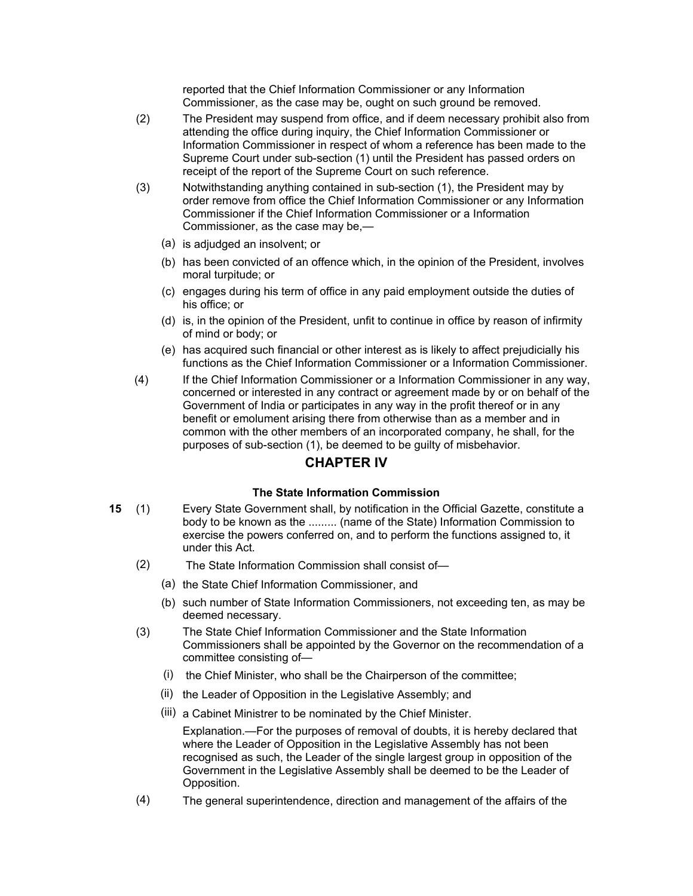reported that the Chief Information Commissioner or any Information Commissioner, as the case may be, ought on such ground be removed.

- (2) The President may suspend from office, and if deem necessary prohibit also from attending the office during inquiry, the Chief Information Commissioner or Information Commissioner in respect of whom a reference has been made to the Supreme Court under sub-section (1) until the President has passed orders on receipt of the report of the Supreme Court on such reference.
- (3) Notwithstanding anything contained in sub-section (1), the President may by order remove from office the Chief Information Commissioner or any Information Commissioner if the Chief Information Commissioner or a Information Commissioner, as the case may be,—
	- (a) is adjudged an insolvent; or
	- (b) has been convicted of an offence which, in the opinion of the President, involves moral turpitude; or
	- (c) engages during his term of office in any paid employment outside the duties of his office; or
	- (d) is, in the opinion of the President, unfit to continue in office by reason of infirmity of mind or body; or
	- (e) has acquired such financial or other interest as is likely to affect prejudicially his functions as the Chief Information Commissioner or a Information Commissioner.
- (4) If the Chief Information Commissioner or a Information Commissioner in any way, concerned or interested in any contract or agreement made by or on behalf of the Government of India or participates in any way in the profit thereof or in any benefit or emolument arising there from otherwise than as a member and in common with the other members of an incorporated company, he shall, for the purposes of sub-section (1), be deemed to be guilty of misbehavior.

## **CHAPTER IV**

#### **The State Information Commission**

- **15** (1) Every State Government shall, by notification in the Official Gazette, constitute a body to be known as the ......... (name of the State) Information Commission to exercise the powers conferred on, and to perform the functions assigned to, it under this Act.
	- (2) The State Information Commission shall consist of—
		- (a) the State Chief Information Commissioner, and
		- (b) such number of State Information Commissioners, not exceeding ten, as may be deemed necessary.
	- (3) The State Chief Information Commissioner and the State Information Commissioners shall be appointed by the Governor on the recommendation of a committee consisting of—
		- (i) the Chief Minister, who shall be the Chairperson of the committee;
		- (ii) the Leader of Opposition in the Legislative Assembly; and
		- (iii) a Cabinet Ministrer to be nominated by the Chief Minister.

 Explanation.—For the purposes of removal of doubts, it is hereby declared that where the Leader of Opposition in the Legislative Assembly has not been recognised as such, the Leader of the single largest group in opposition of the Government in the Legislative Assembly shall be deemed to be the Leader of Opposition.

(4) The general superintendence, direction and management of the affairs of the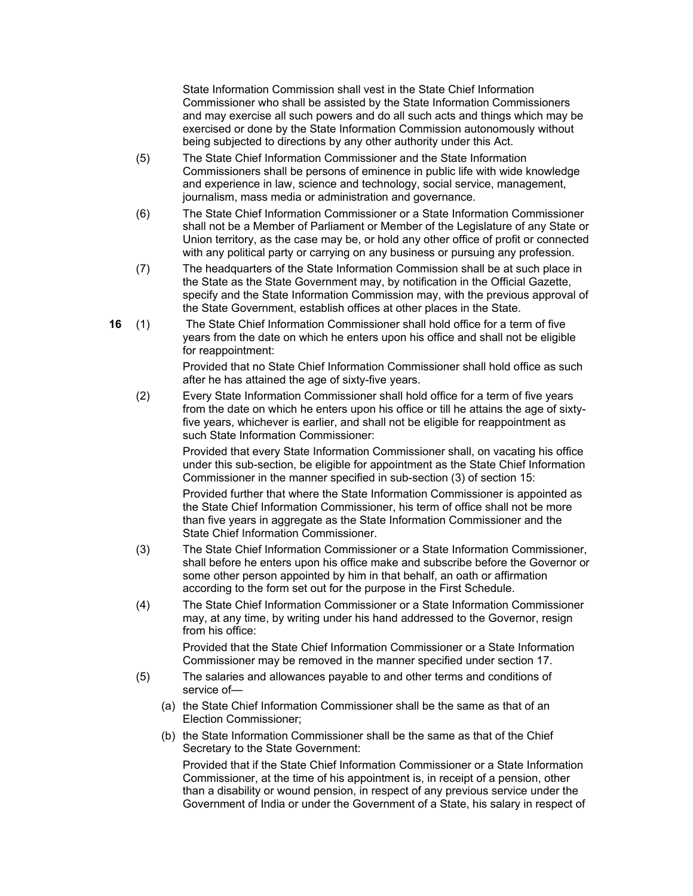State Information Commission shall vest in the State Chief Information Commissioner who shall be assisted by the State Information Commissioners and may exercise all such powers and do all such acts and things which may be exercised or done by the State Information Commission autonomously without being subjected to directions by any other authority under this Act.

- (5) The State Chief Information Commissioner and the State Information Commissioners shall be persons of eminence in public life with wide knowledge and experience in law, science and technology, social service, management, journalism, mass media or administration and governance.
- (6) The State Chief Information Commissioner or a State Information Commissioner shall not be a Member of Parliament or Member of the Legislature of any State or Union territory, as the case may be, or hold any other office of profit or connected with any political party or carrying on any business or pursuing any profession.
- (7) The headquarters of the State Information Commission shall be at such place in the State as the State Government may, by notification in the Official Gazette, specify and the State Information Commission may, with the previous approval of the State Government, establish offices at other places in the State.
- **16** (1) The State Chief Information Commissioner shall hold office for a term of five years from the date on which he enters upon his office and shall not be eligible for reappointment:

 Provided that no State Chief Information Commissioner shall hold office as such after he has attained the age of sixty-five years.

 (2) Every State Information Commissioner shall hold office for a term of five years from the date on which he enters upon his office or till he attains the age of sixtyfive years, whichever is earlier, and shall not be eligible for reappointment as such State Information Commissioner:

> Provided that every State Information Commissioner shall, on vacating his office under this sub-section, be eligible for appointment as the State Chief Information Commissioner in the manner specified in sub-section (3) of section 15:

> Provided further that where the State Information Commissioner is appointed as the State Chief Information Commissioner, his term of office shall not be more than five years in aggregate as the State Information Commissioner and the State Chief Information Commissioner.

- (3) The State Chief Information Commissioner or a State Information Commissioner, shall before he enters upon his office make and subscribe before the Governor or some other person appointed by him in that behalf, an oath or affirmation according to the form set out for the purpose in the First Schedule.
- (4) The State Chief Information Commissioner or a State Information Commissioner may, at any time, by writing under his hand addressed to the Governor, resign from his office:

 Provided that the State Chief Information Commissioner or a State Information Commissioner may be removed in the manner specified under section 17.

- (5) The salaries and allowances payable to and other terms and conditions of service of—
	- (a) the State Chief Information Commissioner shall be the same as that of an Election Commissioner;
	- (b) the State Information Commissioner shall be the same as that of the Chief Secretary to the State Government:

 Provided that if the State Chief Information Commissioner or a State Information Commissioner, at the time of his appointment is, in receipt of a pension, other than a disability or wound pension, in respect of any previous service under the Government of India or under the Government of a State, his salary in respect of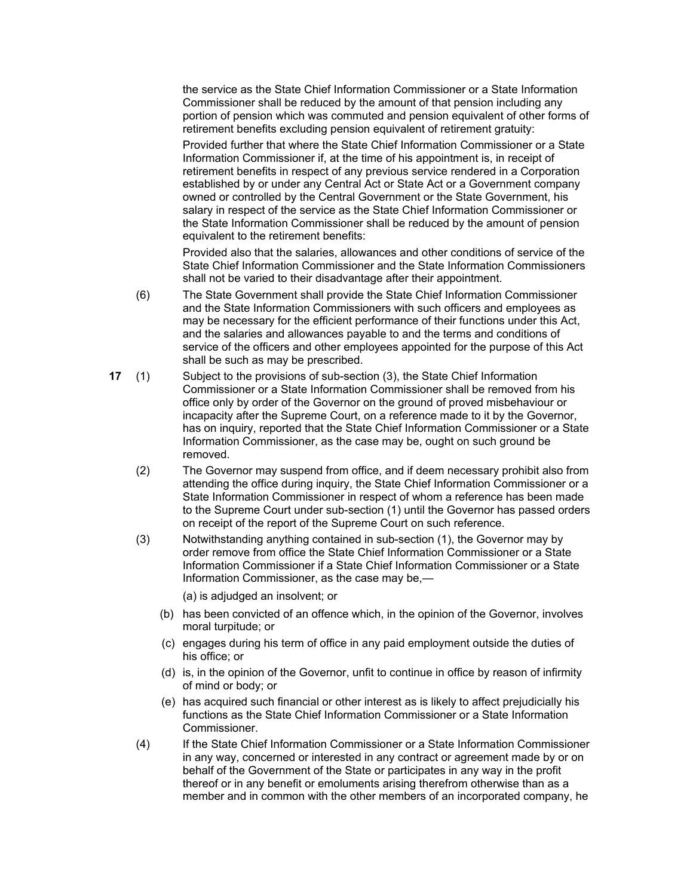the service as the State Chief Information Commissioner or a State Information Commissioner shall be reduced by the amount of that pension including any portion of pension which was commuted and pension equivalent of other forms of retirement benefits excluding pension equivalent of retirement gratuity:

 Provided further that where the State Chief Information Commissioner or a State Information Commissioner if, at the time of his appointment is, in receipt of retirement benefits in respect of any previous service rendered in a Corporation established by or under any Central Act or State Act or a Government company owned or controlled by the Central Government or the State Government, his salary in respect of the service as the State Chief Information Commissioner or the State Information Commissioner shall be reduced by the amount of pension equivalent to the retirement benefits:

 Provided also that the salaries, allowances and other conditions of service of the State Chief Information Commissioner and the State Information Commissioners shall not be varied to their disadvantage after their appointment.

- (6) The State Government shall provide the State Chief Information Commissioner and the State Information Commissioners with such officers and employees as may be necessary for the efficient performance of their functions under this Act, and the salaries and allowances payable to and the terms and conditions of service of the officers and other employees appointed for the purpose of this Act shall be such as may be prescribed.
- **17** (1) Subject to the provisions of sub-section (3), the State Chief Information Commissioner or a State Information Commissioner shall be removed from his office only by order of the Governor on the ground of proved misbehaviour or incapacity after the Supreme Court, on a reference made to it by the Governor, has on inquiry, reported that the State Chief Information Commissioner or a State Information Commissioner, as the case may be, ought on such ground be removed.
	- (2) The Governor may suspend from office, and if deem necessary prohibit also from attending the office during inquiry, the State Chief Information Commissioner or a State Information Commissioner in respect of whom a reference has been made to the Supreme Court under sub-section (1) until the Governor has passed orders on receipt of the report of the Supreme Court on such reference.
	- (3) Notwithstanding anything contained in sub-section (1), the Governor may by order remove from office the State Chief Information Commissioner or a State Information Commissioner if a State Chief Information Commissioner or a State Information Commissioner, as the case may be,—

(a) is adjudged an insolvent; or

- (b) has been convicted of an offence which, in the opinion of the Governor, involves moral turpitude; or
- (c) engages during his term of office in any paid employment outside the duties of his office; or
- (d) is, in the opinion of the Governor, unfit to continue in office by reason of infirmity of mind or body; or
- (e) has acquired such financial or other interest as is likely to affect prejudicially his functions as the State Chief Information Commissioner or a State Information Commissioner.
- (4) If the State Chief Information Commissioner or a State Information Commissioner in any way, concerned or interested in any contract or agreement made by or on behalf of the Government of the State or participates in any way in the profit thereof or in any benefit or emoluments arising therefrom otherwise than as a member and in common with the other members of an incorporated company, he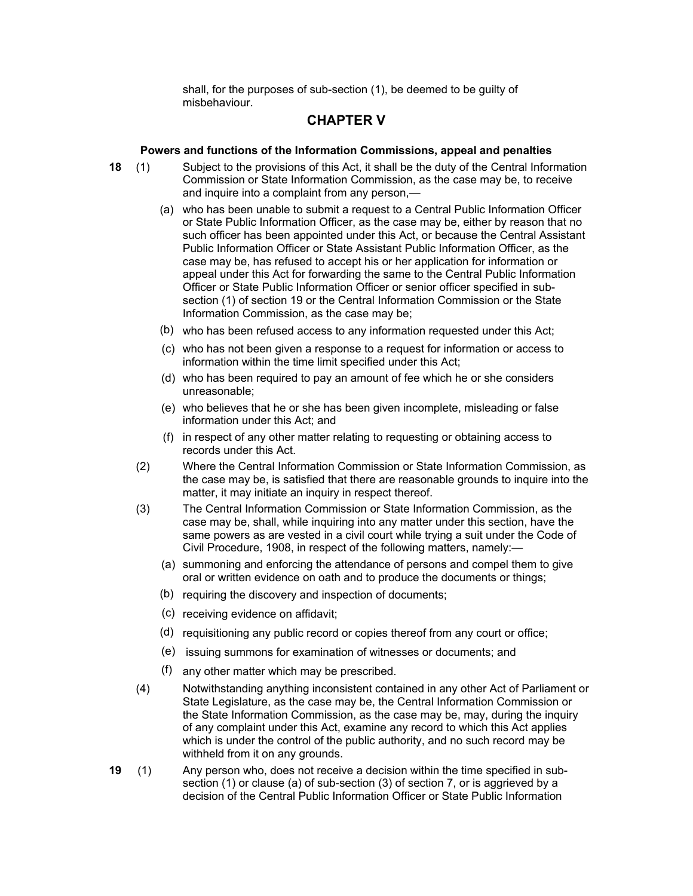shall, for the purposes of sub-section (1), be deemed to be guilty of misbehaviour.

# **CHAPTER V**

#### **Powers and functions of the Information Commissions, appeal and penalties**

- **18** (1) Subject to the provisions of this Act, it shall be the duty of the Central Information Commission or State Information Commission, as the case may be, to receive and inquire into a complaint from any person,—
	- (a) who has been unable to submit a request to a Central Public Information Officer or State Public Information Officer, as the case may be, either by reason that no such officer has been appointed under this Act, or because the Central Assistant Public Information Officer or State Assistant Public Information Officer, as the case may be, has refused to accept his or her application for information or appeal under this Act for forwarding the same to the Central Public Information Officer or State Public Information Officer or senior officer specified in subsection (1) of section 19 or the Central Information Commission or the State Information Commission, as the case may be;
	- (b) who has been refused access to any information requested under this Act;
	- (c) who has not been given a response to a request for information or access to information within the time limit specified under this Act;
	- (d) who has been required to pay an amount of fee which he or she considers unreasonable;
	- (e) who believes that he or she has been given incomplete, misleading or false information under this Act; and
	- (f) in respect of any other matter relating to requesting or obtaining access to records under this Act.
	- (2) Where the Central Information Commission or State Information Commission, as the case may be, is satisfied that there are reasonable grounds to inquire into the matter, it may initiate an inquiry in respect thereof.
	- (3) The Central Information Commission or State Information Commission, as the case may be, shall, while inquiring into any matter under this section, have the same powers as are vested in a civil court while trying a suit under the Code of Civil Procedure, 1908, in respect of the following matters, namely:—
		- (a) summoning and enforcing the attendance of persons and compel them to give oral or written evidence on oath and to produce the documents or things;
		- (b) requiring the discovery and inspection of documents;
		- (c) receiving evidence on affidavit;
		- (d) requisitioning any public record or copies thereof from any court or office;
		- (e) issuing summons for examination of witnesses or documents; and
		- (f) any other matter which may be prescribed.
	- (4) Notwithstanding anything inconsistent contained in any other Act of Parliament or State Legislature, as the case may be, the Central Information Commission or the State Information Commission, as the case may be, may, during the inquiry of any complaint under this Act, examine any record to which this Act applies which is under the control of the public authority, and no such record may be withheld from it on any grounds.
- **19** (1) Any person who, does not receive a decision within the time specified in subsection (1) or clause (a) of sub-section (3) of section 7, or is aggrieved by a decision of the Central Public Information Officer or State Public Information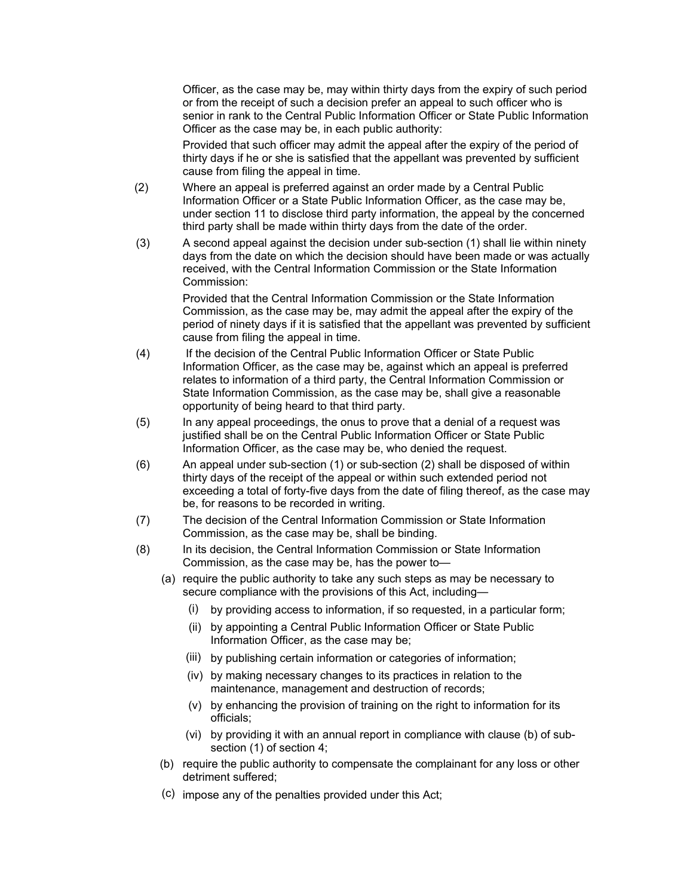Officer, as the case may be, may within thirty days from the expiry of such period or from the receipt of such a decision prefer an appeal to such officer who is senior in rank to the Central Public Information Officer or State Public Information Officer as the case may be, in each public authority:

 Provided that such officer may admit the appeal after the expiry of the period of thirty days if he or she is satisfied that the appellant was prevented by sufficient cause from filing the appeal in time.

- (2) Where an appeal is preferred against an order made by a Central Public Information Officer or a State Public Information Officer, as the case may be, under section 11 to disclose third party information, the appeal by the concerned third party shall be made within thirty days from the date of the order.
- (3) A second appeal against the decision under sub-section (1) shall lie within ninety days from the date on which the decision should have been made or was actually received, with the Central Information Commission or the State Information Commission:

 Provided that the Central Information Commission or the State Information Commission, as the case may be, may admit the appeal after the expiry of the period of ninety days if it is satisfied that the appellant was prevented by sufficient cause from filing the appeal in time.

- (4) If the decision of the Central Public Information Officer or State Public Information Officer, as the case may be, against which an appeal is preferred relates to information of a third party, the Central Information Commission or State Information Commission, as the case may be, shall give a reasonable opportunity of being heard to that third party.
- (5) In any appeal proceedings, the onus to prove that a denial of a request was justified shall be on the Central Public Information Officer or State Public Information Officer, as the case may be, who denied the request.
- (6) An appeal under sub-section (1) or sub-section (2) shall be disposed of within thirty days of the receipt of the appeal or within such extended period not exceeding a total of forty-five days from the date of filing thereof, as the case may be, for reasons to be recorded in writing.
- (7) The decision of the Central Information Commission or State Information Commission, as the case may be, shall be binding.
- (8) In its decision, the Central Information Commission or State Information Commission, as the case may be, has the power to—
	- (a) require the public authority to take any such steps as may be necessary to secure compliance with the provisions of this Act, including—
		- (i) by providing access to information, if so requested, in a particular form;
		- (ii) by appointing a Central Public Information Officer or State Public Information Officer, as the case may be;
		- (iii) by publishing certain information or categories of information;
		- (iv) by making necessary changes to its practices in relation to the maintenance, management and destruction of records;
		- (v) by enhancing the provision of training on the right to information for its officials;
		- (vi) by providing it with an annual report in compliance with clause (b) of subsection (1) of section 4;
	- (b) require the public authority to compensate the complainant for any loss or other detriment suffered;
	- (c) impose any of the penalties provided under this Act;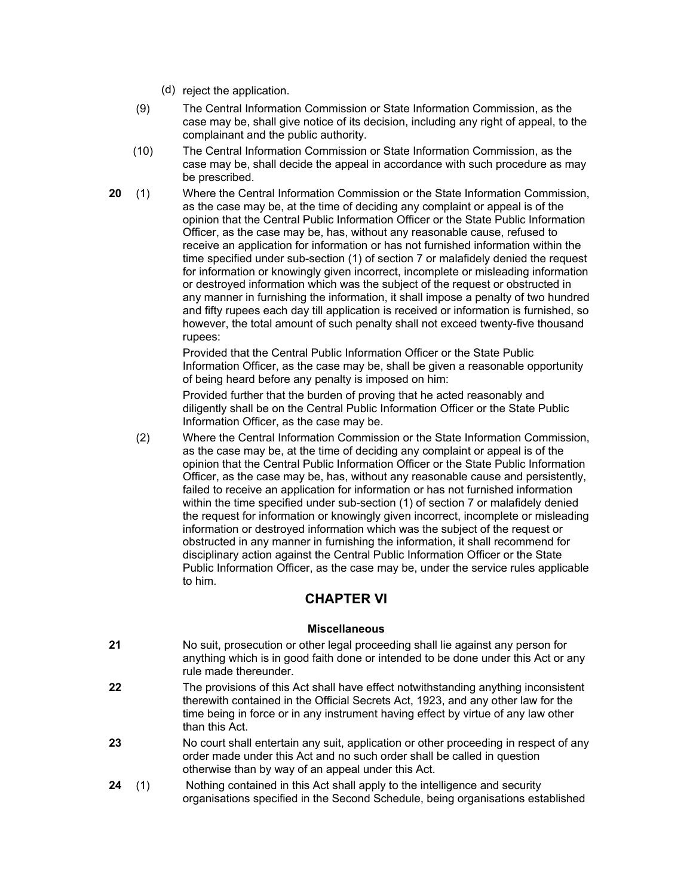- (d) reject the application.
- (9) The Central Information Commission or State Information Commission, as the case may be, shall give notice of its decision, including any right of appeal, to the complainant and the public authority.
- (10) The Central Information Commission or State Information Commission, as the case may be, shall decide the appeal in accordance with such procedure as may be prescribed.
- **20** (1) Where the Central Information Commission or the State Information Commission, as the case may be, at the time of deciding any complaint or appeal is of the opinion that the Central Public Information Officer or the State Public Information Officer, as the case may be, has, without any reasonable cause, refused to receive an application for information or has not furnished information within the time specified under sub-section (1) of section 7 or malafidely denied the request for information or knowingly given incorrect, incomplete or misleading information or destroyed information which was the subject of the request or obstructed in any manner in furnishing the information, it shall impose a penalty of two hundred and fifty rupees each day till application is received or information is furnished, so however, the total amount of such penalty shall not exceed twenty-five thousand rupees:

 Provided that the Central Public Information Officer or the State Public Information Officer, as the case may be, shall be given a reasonable opportunity of being heard before any penalty is imposed on him:

 Provided further that the burden of proving that he acted reasonably and diligently shall be on the Central Public Information Officer or the State Public Information Officer, as the case may be.

 (2) Where the Central Information Commission or the State Information Commission, as the case may be, at the time of deciding any complaint or appeal is of the opinion that the Central Public Information Officer or the State Public Information Officer, as the case may be, has, without any reasonable cause and persistently, failed to receive an application for information or has not furnished information within the time specified under sub-section (1) of section 7 or malafidely denied the request for information or knowingly given incorrect, incomplete or misleading information or destroyed information which was the subject of the request or obstructed in any manner in furnishing the information, it shall recommend for disciplinary action against the Central Public Information Officer or the State Public Information Officer, as the case may be, under the service rules applicable to him.

## **CHAPTER VI**

#### **Miscellaneous**

- **21** No suit, prosecution or other legal proceeding shall lie against any person for anything which is in good faith done or intended to be done under this Act or any rule made thereunder.
- **22** The provisions of this Act shall have effect notwithstanding anything inconsistent therewith contained in the Official Secrets Act, 1923, and any other law for the time being in force or in any instrument having effect by virtue of any law other than this Act.
- **23** No court shall entertain any suit, application or other proceeding in respect of any order made under this Act and no such order shall be called in question otherwise than by way of an appeal under this Act.
- **24** (1) Nothing contained in this Act shall apply to the intelligence and security organisations specified in the Second Schedule, being organisations established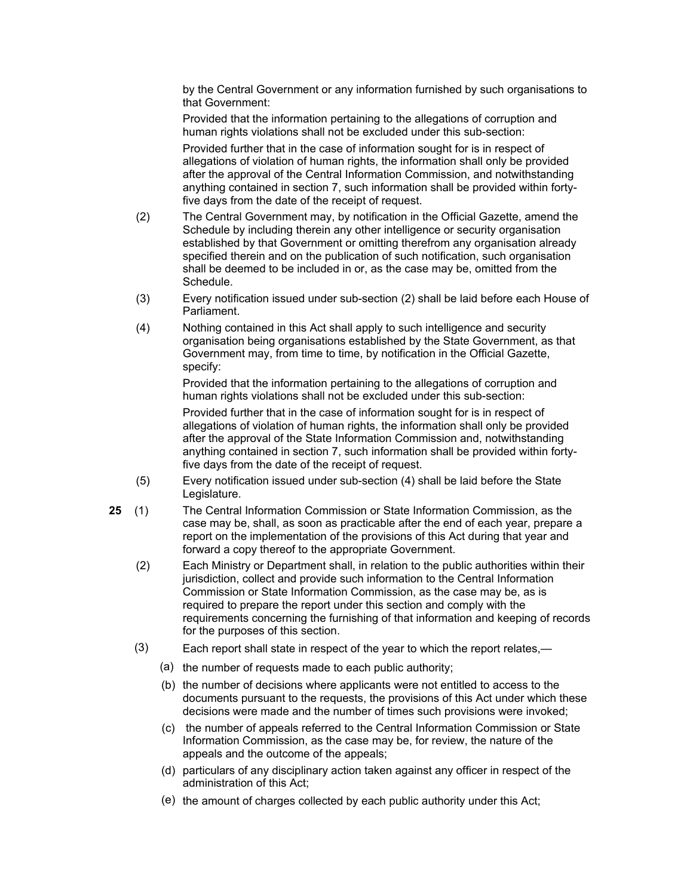by the Central Government or any information furnished by such organisations to that Government:

 Provided that the information pertaining to the allegations of corruption and human rights violations shall not be excluded under this sub-section:

 Provided further that in the case of information sought for is in respect of allegations of violation of human rights, the information shall only be provided after the approval of the Central Information Commission, and notwithstanding anything contained in section 7, such information shall be provided within fortyfive days from the date of the receipt of request.

- (2) The Central Government may, by notification in the Official Gazette, amend the Schedule by including therein any other intelligence or security organisation established by that Government or omitting therefrom any organisation already specified therein and on the publication of such notification, such organisation shall be deemed to be included in or, as the case may be, omitted from the Schedule.
- (3) Every notification issued under sub-section (2) shall be laid before each House of Parliament.
- (4) Nothing contained in this Act shall apply to such intelligence and security organisation being organisations established by the State Government, as that Government may, from time to time, by notification in the Official Gazette, specify:

 Provided that the information pertaining to the allegations of corruption and human rights violations shall not be excluded under this sub-section:

 Provided further that in the case of information sought for is in respect of allegations of violation of human rights, the information shall only be provided after the approval of the State Information Commission and, notwithstanding anything contained in section 7, such information shall be provided within fortyfive days from the date of the receipt of request.

- (5) Every notification issued under sub-section (4) shall be laid before the State Legislature.
- **25** (1) The Central Information Commission or State Information Commission, as the case may be, shall, as soon as practicable after the end of each year, prepare a report on the implementation of the provisions of this Act during that year and forward a copy thereof to the appropriate Government.
	- (2) Each Ministry or Department shall, in relation to the public authorities within their jurisdiction, collect and provide such information to the Central Information Commission or State Information Commission, as the case may be, as is required to prepare the report under this section and comply with the requirements concerning the furnishing of that information and keeping of records for the purposes of this section.
	- (3) Each report shall state in respect of the year to which the report relates,—
		- (a) the number of requests made to each public authority;
		- (b) the number of decisions where applicants were not entitled to access to the documents pursuant to the requests, the provisions of this Act under which these decisions were made and the number of times such provisions were invoked;
		- (c) the number of appeals referred to the Central Information Commission or State Information Commission, as the case may be, for review, the nature of the appeals and the outcome of the appeals;
		- (d) particulars of any disciplinary action taken against any officer in respect of the administration of this Act;
		- (e) the amount of charges collected by each public authority under this Act;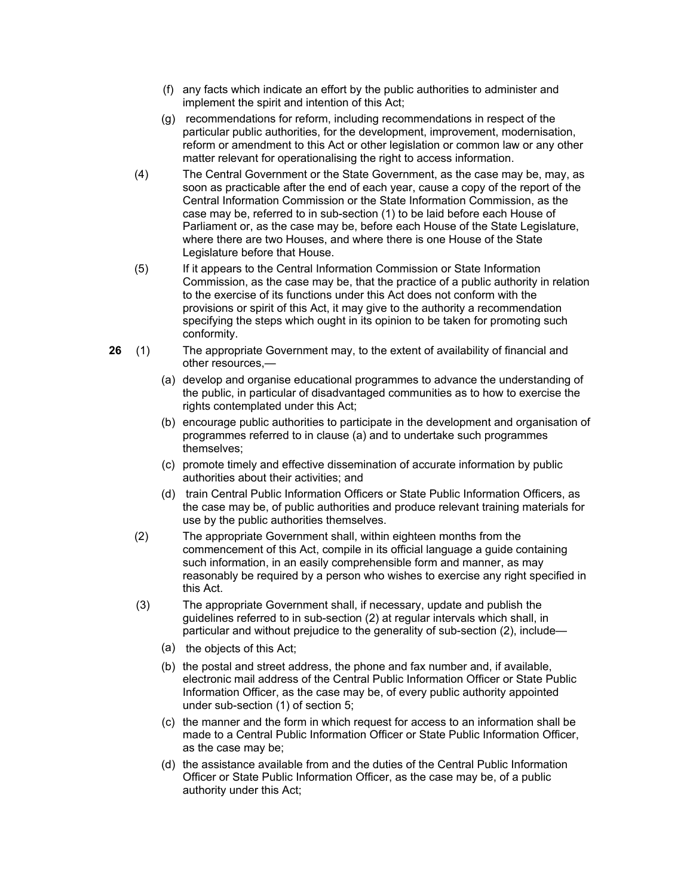- (f) any facts which indicate an effort by the public authorities to administer and implement the spirit and intention of this Act;
- (g) recommendations for reform, including recommendations in respect of the particular public authorities, for the development, improvement, modernisation, reform or amendment to this Act or other legislation or common law or any other matter relevant for operationalising the right to access information.
- (4) The Central Government or the State Government, as the case may be, may, as soon as practicable after the end of each year, cause a copy of the report of the Central Information Commission or the State Information Commission, as the case may be, referred to in sub-section (1) to be laid before each House of Parliament or, as the case may be, before each House of the State Legislature, where there are two Houses, and where there is one House of the State Legislature before that House.
- (5) If it appears to the Central Information Commission or State Information Commission, as the case may be, that the practice of a public authority in relation to the exercise of its functions under this Act does not conform with the provisions or spirit of this Act, it may give to the authority a recommendation specifying the steps which ought in its opinion to be taken for promoting such conformity.
- **26** (1) The appropriate Government may, to the extent of availability of financial and other resources,—
	- (a) develop and organise educational programmes to advance the understanding of the public, in particular of disadvantaged communities as to how to exercise the rights contemplated under this Act;
	- (b) encourage public authorities to participate in the development and organisation of programmes referred to in clause (a) and to undertake such programmes themselves;
	- (c) promote timely and effective dissemination of accurate information by public authorities about their activities; and
	- (d) train Central Public Information Officers or State Public Information Officers, as the case may be, of public authorities and produce relevant training materials for use by the public authorities themselves.
	- (2) The appropriate Government shall, within eighteen months from the commencement of this Act, compile in its official language a guide containing such information, in an easily comprehensible form and manner, as may reasonably be required by a person who wishes to exercise any right specified in this Act.
	- (3) The appropriate Government shall, if necessary, update and publish the guidelines referred to in sub-section (2) at regular intervals which shall, in particular and without prejudice to the generality of sub-section (2), include—
		- (a) the objects of this Act;
		- (b) the postal and street address, the phone and fax number and, if available, electronic mail address of the Central Public Information Officer or State Public Information Officer, as the case may be, of every public authority appointed under sub-section (1) of section 5;
		- (c) the manner and the form in which request for access to an information shall be made to a Central Public Information Officer or State Public Information Officer, as the case may be;
		- (d) the assistance available from and the duties of the Central Public Information Officer or State Public Information Officer, as the case may be, of a public authority under this Act;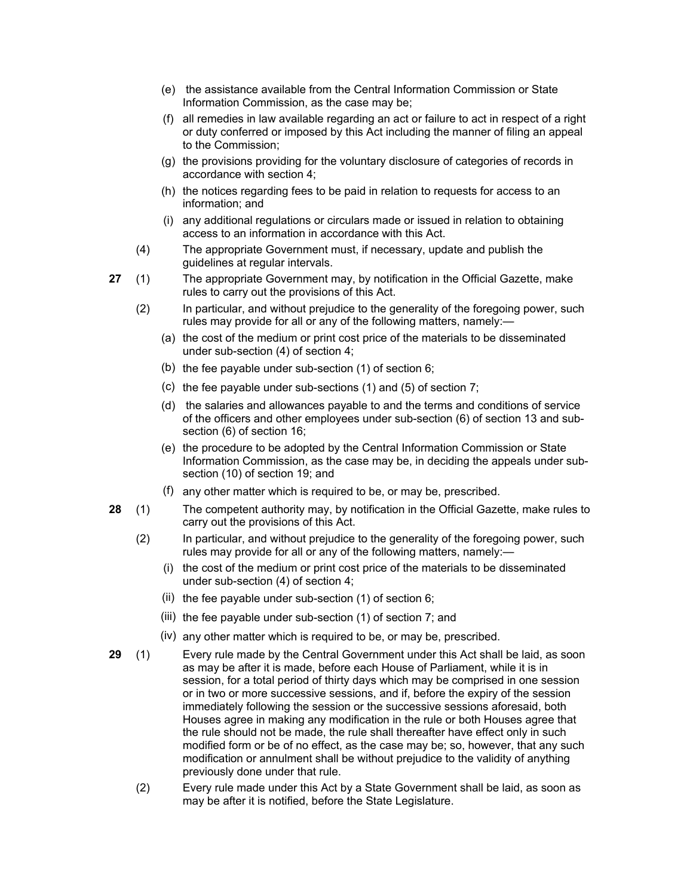- (e) the assistance available from the Central Information Commission or State Information Commission, as the case may be;
- (f) all remedies in law available regarding an act or failure to act in respect of a right or duty conferred or imposed by this Act including the manner of filing an appeal to the Commission;
- (g) the provisions providing for the voluntary disclosure of categories of records in accordance with section 4;
- (h) the notices regarding fees to be paid in relation to requests for access to an information; and
- (i) any additional regulations or circulars made or issued in relation to obtaining access to an information in accordance with this Act.
- (4) The appropriate Government must, if necessary, update and publish the guidelines at regular intervals.
- **27** (1) The appropriate Government may, by notification in the Official Gazette, make rules to carry out the provisions of this Act.
	- (2) In particular, and without prejudice to the generality of the foregoing power, such rules may provide for all or any of the following matters, namely:—
		- (a) the cost of the medium or print cost price of the materials to be disseminated under sub-section (4) of section 4;
		- (b) the fee payable under sub-section (1) of section 6;
		- (c) the fee payable under sub-sections (1) and (5) of section 7;
		- (d) the salaries and allowances payable to and the terms and conditions of service of the officers and other employees under sub-section (6) of section 13 and subsection (6) of section 16;
		- (e) the procedure to be adopted by the Central Information Commission or State Information Commission, as the case may be, in deciding the appeals under subsection (10) of section 19; and
		- (f) any other matter which is required to be, or may be, prescribed.
- **28** (1) The competent authority may, by notification in the Official Gazette, make rules to carry out the provisions of this Act.
	- (2) In particular, and without prejudice to the generality of the foregoing power, such rules may provide for all or any of the following matters, namely:—
		- (i) the cost of the medium or print cost price of the materials to be disseminated under sub-section (4) of section 4;
		- (ii) the fee payable under sub-section  $(1)$  of section 6;
		- (iii) the fee payable under sub-section (1) of section 7; and
		- (iv) any other matter which is required to be, or may be, prescribed.
- **29** (1) Every rule made by the Central Government under this Act shall be laid, as soon as may be after it is made, before each House of Parliament, while it is in session, for a total period of thirty days which may be comprised in one session or in two or more successive sessions, and if, before the expiry of the session immediately following the session or the successive sessions aforesaid, both Houses agree in making any modification in the rule or both Houses agree that the rule should not be made, the rule shall thereafter have effect only in such modified form or be of no effect, as the case may be; so, however, that any such modification or annulment shall be without prejudice to the validity of anything previously done under that rule.
	- (2) Every rule made under this Act by a State Government shall be laid, as soon as may be after it is notified, before the State Legislature.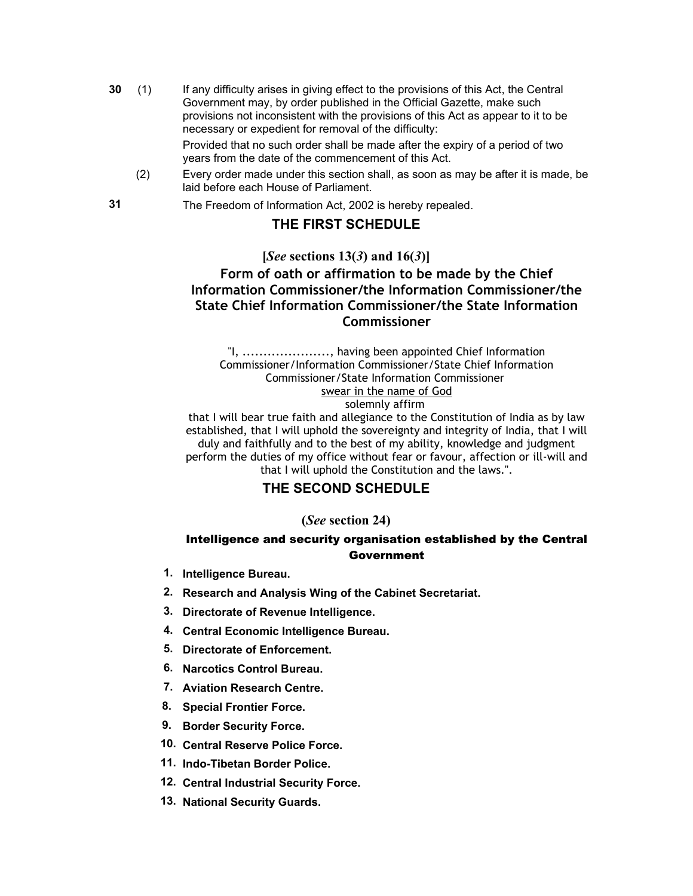**30** (1) If any difficulty arises in giving effect to the provisions of this Act, the Central Government may, by order published in the Official Gazette, make such provisions not inconsistent with the provisions of this Act as appear to it to be necessary or expedient for removal of the difficulty:

> Provided that no such order shall be made after the expiry of a period of two years from the date of the commencement of this Act.

- (2) Every order made under this section shall, as soon as may be after it is made, be laid before each House of Parliament.
- **31** The Freedom of Information Act, 2002 is hereby repealed.

### **THE FIRST SCHEDULE**

### **[***See* **sections 13(***3***) and 16(***3***)]**

# **Form of oath or affirmation to be made by the Chief Information Commissioner/the Information Commissioner/the State Chief Information Commissioner/the State Information Commissioner**

"I, ....................., having been appointed Chief Information Commissioner/Information Commissioner/State Chief Information Commissioner/State Information Commissioner swear in the name of God solemnly affirm

that I will bear true faith and allegiance to the Constitution of India as by law established, that I will uphold the sovereignty and integrity of India, that I will duly and faithfully and to the best of my ability, knowledge and judgment perform the duties of my office without fear or favour, affection or ill-will and that I will uphold the Constitution and the laws.".

## **THE SECOND SCHEDULE**

### **(***See* **section 24)**

### Intelligence and security organisation established by the Central Government

- **1. Intelligence Bureau.**
- **2. Research and Analysis Wing of the Cabinet Secretariat.**
- **3. Directorate of Revenue Intelligence.**
- **4. Central Economic Intelligence Bureau.**
- **5. Directorate of Enforcement.**
- **6. Narcotics Control Bureau.**
- **7. Aviation Research Centre.**
- **8. Special Frontier Force.**
- **9. Border Security Force.**
- **10. Central Reserve Police Force.**
- **11. Indo-Tibetan Border Police.**
- **12. Central Industrial Security Force.**
- **13. National Security Guards.**